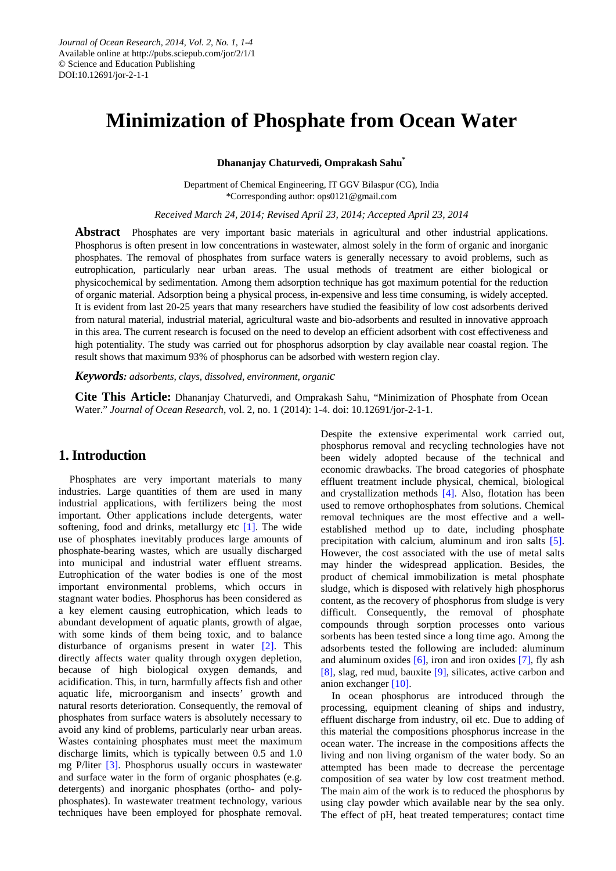# **Minimization of Phosphate from Ocean Water**

**Dhananjay Chaturvedi, Omprakash Sahu\***

Department of Chemical Engineering, IT GGV Bilaspur (CG), India \*Corresponding author: ops0121@gmail.com

*Received March 24, 2014; Revised April 23, 2014; Accepted April 23, 2014*

**Abstract** Phosphates are very important basic materials in agricultural and other industrial applications. Phosphorus is often present in low concentrations in wastewater, almost solely in the form of organic and inorganic phosphates. The removal of phosphates from surface waters is generally necessary to avoid problems, such as eutrophication, particularly near urban areas. The usual methods of treatment are either biological or physicochemical by sedimentation. Among them adsorption technique has got maximum potential for the reduction of organic material. Adsorption being a physical process, in-expensive and less time consuming, is widely accepted. It is evident from last 20-25 years that many researchers have studied the feasibility of low cost adsorbents derived from natural material, industrial material, agricultural waste and bio-adsorbents and resulted in innovative approach in this area. The current research is focused on the need to develop an efficient adsorbent with cost effectiveness and high potentiality. The study was carried out for phosphorus adsorption by clay available near coastal region. The result shows that maximum 93% of phosphorus can be adsorbed with western region clay.

*Keywords: adsorbents, clays, dissolved, environment, organic*

**Cite This Article:** Dhananjay Chaturvedi, and Omprakash Sahu, "Minimization of Phosphate from Ocean Water." *Journal of Ocean Research*, vol. 2, no. 1 (2014): 1-4. doi: 10.12691/jor-2-1-1.

## **1. Introduction**

Phosphates are very important materials to many industries. Large quantities of them are used in many industrial applications, with fertilizers being the most important. Other applications include detergents, water softening, food and drinks, metallurgy etc  $[1]$ . The wide use of phosphates inevitably produces large amounts of phosphate-bearing wastes, which are usually discharged into municipal and industrial water effluent streams. Eutrophication of the water bodies is one of the most important environmental problems, which occurs in stagnant water bodies. Phosphorus has been considered as a key element causing eutrophication, which leads to abundant development of aquatic plants, growth of algae, with some kinds of them being toxic, and to balance disturbance of organisms present in water [\[2\].](#page-3-1) This directly affects water quality through oxygen depletion, because of high biological oxygen demands, and acidification. This, in turn, harmfully affects fish and other aquatic life, microorganism and insects' growth and natural resorts deterioration. Consequently, the removal of phosphates from surface waters is absolutely necessary to avoid any kind of problems, particularly near urban areas. Wastes containing phosphates must meet the maximum discharge limits, which is typically between 0.5 and 1.0 mg P/liter [\[3\].](#page-3-2) Phosphorus usually occurs in wastewater and surface water in the form of organic phosphates (e.g. detergents) and inorganic phosphates (ortho- and polyphosphates). In wastewater treatment technology, various techniques have been employed for phosphate removal.

Despite the extensive experimental work carried out, phosphorus removal and recycling technologies have not been widely adopted because of the technical and economic drawbacks. The broad categories of phosphate effluent treatment include physical, chemical, biological and crystallization methods [\[4\].](#page-3-3) Also, flotation has been used to remove orthophosphates from solutions. Chemical removal techniques are the most effective and a wellestablished method up to date, including phosphate precipitation with calcium, aluminum and iron salts [\[5\].](#page-3-4) However, the cost associated with the use of metal salts may hinder the widespread application. Besides, the product of chemical immobilization is metal phosphate sludge, which is disposed with relatively high phosphorus content, as the recovery of phosphorus from sludge is very difficult. Consequently, the removal of phosphate compounds through sorption processes onto various sorbents has been tested since a long time ago. Among the adsorbents tested the following are included: aluminum and aluminum oxides  $[6]$ , iron and iron oxides  $[7]$ , fly ash [\[8\],](#page-3-7) slag, red mud, bauxite [\[9\],](#page-3-8) silicates, active carbon and anion exchanger [\[10\].](#page-3-9)

In ocean phosphorus are introduced through the processing, equipment cleaning of ships and industry, effluent discharge from industry, oil etc. Due to adding of this material the compositions phosphorus increase in the ocean water. The increase in the compositions affects the living and non living organism of the water body. So an attempted has been made to decrease the percentage composition of sea water by low cost treatment method. The main aim of the work is to reduced the phosphorus by using clay powder which available near by the sea only. The effect of pH, heat treated temperatures; contact time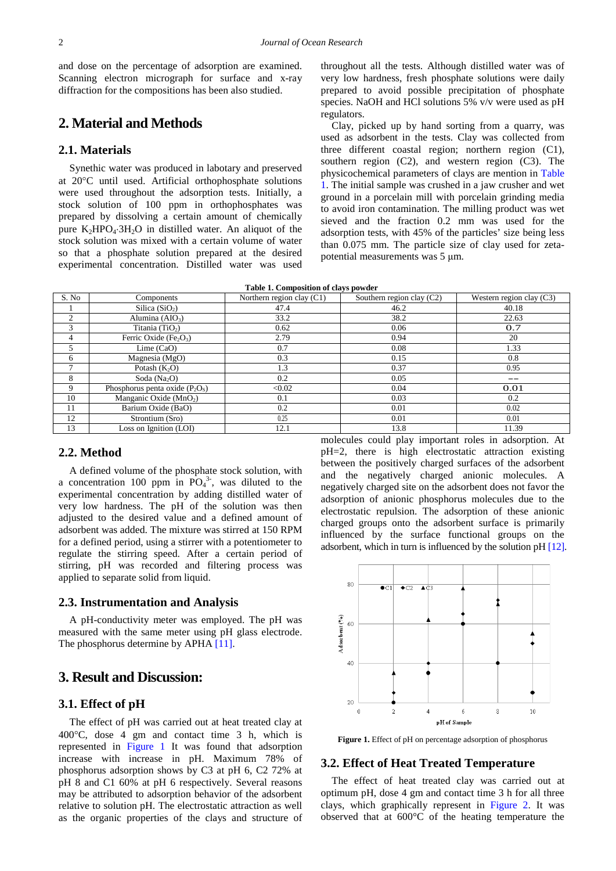and dose on the percentage of adsorption are examined. Scanning electron micrograph for surface and x-ray diffraction for the compositions has been also studied.

## **2. Material and Methods**

#### **2.1. Materials**

Synethic water was produced in labotary and preserved at 20°C until used. Artificial orthophosphate solutions were used throughout the adsorption tests. Initially, a stock solution of 100 ppm in orthophosphates was prepared by dissolving a certain amount of chemically pure  $K_2HPO_4·3H_2O$  in distilled water. An aliquot of the stock solution was mixed with a certain volume of water so that a phosphate solution prepared at the desired experimental concentration. Distilled water was used throughout all the tests. Although distilled water was of very low hardness, fresh phosphate solutions were daily prepared to avoid possible precipitation of phosphate species. NaOH and HCl solutions 5% v/v were used as pH regulators.

Clay, picked up by hand sorting from a quarry, was used as adsorbent in the tests. Clay was collected from three different coastal region; northern region (C1), southern region (C2), and western region (C3). The physicochemical parameters of clays are mention in [Table](#page-1-0)  [1.](#page-1-0) The initial sample was crushed in a jaw crusher and wet ground in a porcelain mill with porcelain grinding media to avoid iron contamination. The milling product was wet sieved and the fraction 0.2 mm was used for the adsorption tests, with 45% of the particles' size being less than 0.075 mm. The particle size of clay used for zetapotential measurements was 5 μm.

| Table 1. Composition of clays powder |  |  |  |  |
|--------------------------------------|--|--|--|--|
|--------------------------------------|--|--|--|--|

<span id="page-1-0"></span>

| S. No          | Components                       | Northern region clay $(C1)$ | Southern region clay (C2) | Western region clay $(C3)$ |
|----------------|----------------------------------|-----------------------------|---------------------------|----------------------------|
|                | Silica $(SiO2)$                  | 47.4                        | 46.2                      | 40.18                      |
| $\overline{c}$ | Alumina $(AIO3)$                 | 33.2                        | 38.2                      | 22.63                      |
| 3              | Titania $(TiO2)$                 | 0.62                        | 0.06                      | 0.7                        |
| $\overline{4}$ | Ferric Oxide $(Fe2O3)$           | 2.79                        | 0.94                      | 20                         |
| 5              | Lime $(CaO)$                     | 0.7                         | 0.08                      | 1.33                       |
| 6              | Magnesia (MgO)                   | 0.3                         | 0.15                      | 0.8                        |
| $\mathcal{L}$  | Potash $(K_2O)$                  | 1.3                         | 0.37                      | 0.95                       |
| 8              | Soda $(Na2O)$                    | 0.2                         | 0.05                      | $ -$                       |
| $\mathbf Q$    | Phosphorus penta oxide $(P_2OS)$ | < 0.02                      | 0.04                      | 0.01                       |
| 10             | Manganic Oxide $(MnO2)$          | 0.1                         | 0.03                      | 0.2                        |
| 11             | Barium Oxide (BaO)               | 0.2                         | 0.01                      | 0.02                       |
| 12             | Strontium (Sro)                  | 0.25                        | 0.01                      | 0.01                       |
| 13             | Loss on Ignition (LOI)           | 12.1                        | 13.8                      | 11.39                      |

## **2.2. Method**

A defined volume of the phosphate stock solution, with a concentration 100 ppm in  $\overline{PO_4}^3$ , was diluted to the experimental concentration by adding distilled water of very low hardness. The pH of the solution was then adjusted to the desired value and a defined amount of adsorbent was added. The mixture was stirred at 150 RPM for a defined period, using a stirrer with a potentiometer to regulate the stirring speed. After a certain period of stirring, pH was recorded and filtering process was applied to separate solid from liquid.

#### **2.3. Instrumentation and Analysis**

A pH-conductivity meter was employed. The pH was measured with the same meter using pH glass electrode. The phosphorus determine by APHA [\[11\].](#page-3-10)

## **3. Result and Discussion:**

#### **3.1. Effect of pH**

The effect of pH was carried out at heat treated clay at 400°C, dose 4 gm and contact time 3 h, which is represented in [Figure 1](#page-1-1) It was found that adsorption increase with increase in pH. Maximum 78% of phosphorus adsorption shows by C3 at pH 6, C2 72% at pH 8 and C1 60% at pH 6 respectively. Several reasons may be attributed to adsorption behavior of the adsorbent relative to solution pH. The electrostatic attraction as well as the organic properties of the clays and structure of molecules could play important roles in adsorption. At pH=2, there is high electrostatic attraction existing between the positively charged surfaces of the adsorbent and the negatively charged anionic molecules. A negatively charged site on the adsorbent does not favor the adsorption of anionic phosphorus molecules due to the electrostatic repulsion. The adsorption of these anionic charged groups onto the adsorbent surface is primarily influenced by the surface functional groups on the adsorbent, which in turn is influenced by the solution pH [\[12\].](#page-3-11)

<span id="page-1-1"></span>

**Figure 1.** Effect of pH on percentage adsorption of phosphorus

#### **3.2. Effect of Heat Treated Temperature**

The effect of heat treated clay was carried out at optimum pH, dose 4 gm and contact time 3 h for all three clays, which graphically represent in [Figure 2.](#page-2-0) It was observed that at 600°C of the heating temperature the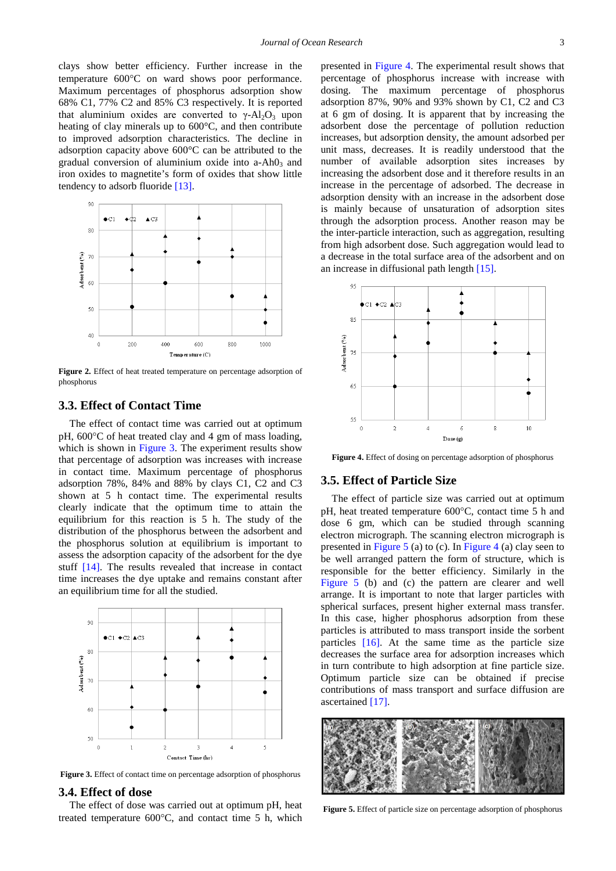clays show better efficiency. Further increase in the temperature 600°C on ward shows poor performance. Maximum percentages of phosphorus adsorption show 68% C1, 77% C2 and 85% C3 respectively. It is reported that aluminium oxides are converted to  $\gamma$ -Al<sub>2</sub>O<sub>3</sub> upon heating of clay minerals up to 600°C, and then contribute to improved adsorption characteristics. The decline in adsorption capacity above 600°C can be attributed to the gradual conversion of aluminium oxide into  $a$ -Ah $0<sub>3</sub>$  and iron oxides to magnetite's form of oxides that show little tendency to adsorb fluoride [\[13\].](#page-3-12)

<span id="page-2-0"></span>

**Figure 2.** Effect of heat treated temperature on percentage adsorption of phosphorus

## **3.3. Effect of Contact Time**

The effect of contact time was carried out at optimum pH, 600°C of heat treated clay and 4 gm of mass loading, which is shown in [Figure 3.](#page-2-1) The experiment results show that percentage of adsorption was increases with increase in contact time. Maximum percentage of phosphorus adsorption 78%, 84% and 88% by clays C1, C2 and C3 shown at 5 h contact time. The experimental results clearly indicate that the optimum time to attain the equilibrium for this reaction is 5 h. The study of the distribution of the phosphorus between the adsorbent and the phosphorus solution at equilibrium is important to assess the adsorption capacity of the adsorbent for the dye stuff [\[14\].](#page-3-13) The results revealed that increase in contact time increases the dye uptake and remains constant after an equilibrium time for all the studied.

<span id="page-2-1"></span>

**Figure 3.** Effect of contact time on percentage adsorption of phosphorus

#### **3.4. Effect of dose**

The effect of dose was carried out at optimum pH, heat treated temperature 600°C, and contact time 5 h, which

presented in [Figure 4.](#page-2-2) The experimental result shows that percentage of phosphorus increase with increase with dosing. The maximum percentage of phosphorus adsorption 87%, 90% and 93% shown by C1, C2 and C3 at 6 gm of dosing. It is apparent that by increasing the adsorbent dose the percentage of pollution reduction increases, but adsorption density, the amount adsorbed per unit mass, decreases. It is readily understood that the number of available adsorption sites increases by increasing the adsorbent dose and it therefore results in an increase in the percentage of adsorbed. The decrease in adsorption density with an increase in the adsorbent dose is mainly because of unsaturation of adsorption sites through the adsorption process. Another reason may be the inter-particle interaction, such as aggregation, resulting from high adsorbent dose. Such aggregation would lead to a decrease in the total surface area of the adsorbent and on an increase in diffusional path lengt[h \[15\].](#page-3-14) 

<span id="page-2-2"></span>

**Figure 4.** Effect of dosing on percentage adsorption of phosphorus

#### **3.5. Effect of Particle Size**

The effect of particle size was carried out at optimum pH, heat treated temperature 600°C, contact time 5 h and dose 6 gm, which can be studied through scanning electron micrograph. The scanning electron micrograph is presented in [Figure 5](#page-2-3) (a) to (c). In [Figure 4](#page-2-2) (a) clay seen to be well arranged pattern the form of structure, which is responsible for the better efficiency. Similarly in the [Figure 5](#page-2-3) (b) and (c) the pattern are clearer and well arrange. It is important to note that larger particles with spherical surfaces, present higher external mass transfer. In this case, higher phosphorus adsorption from these particles is attributed to mass transport inside the sorbent particles [\[16\].](#page-3-15) At the same time as the particle size decreases the surface area for adsorption increases which in turn contribute to high adsorption at fine particle size. Optimum particle size can be obtained if precise contributions of mass transport and surface diffusion are ascertained [\[17\].](#page-3-16)

<span id="page-2-3"></span>

**Figure 5.** Effect of particle size on percentage adsorption of phosphorus